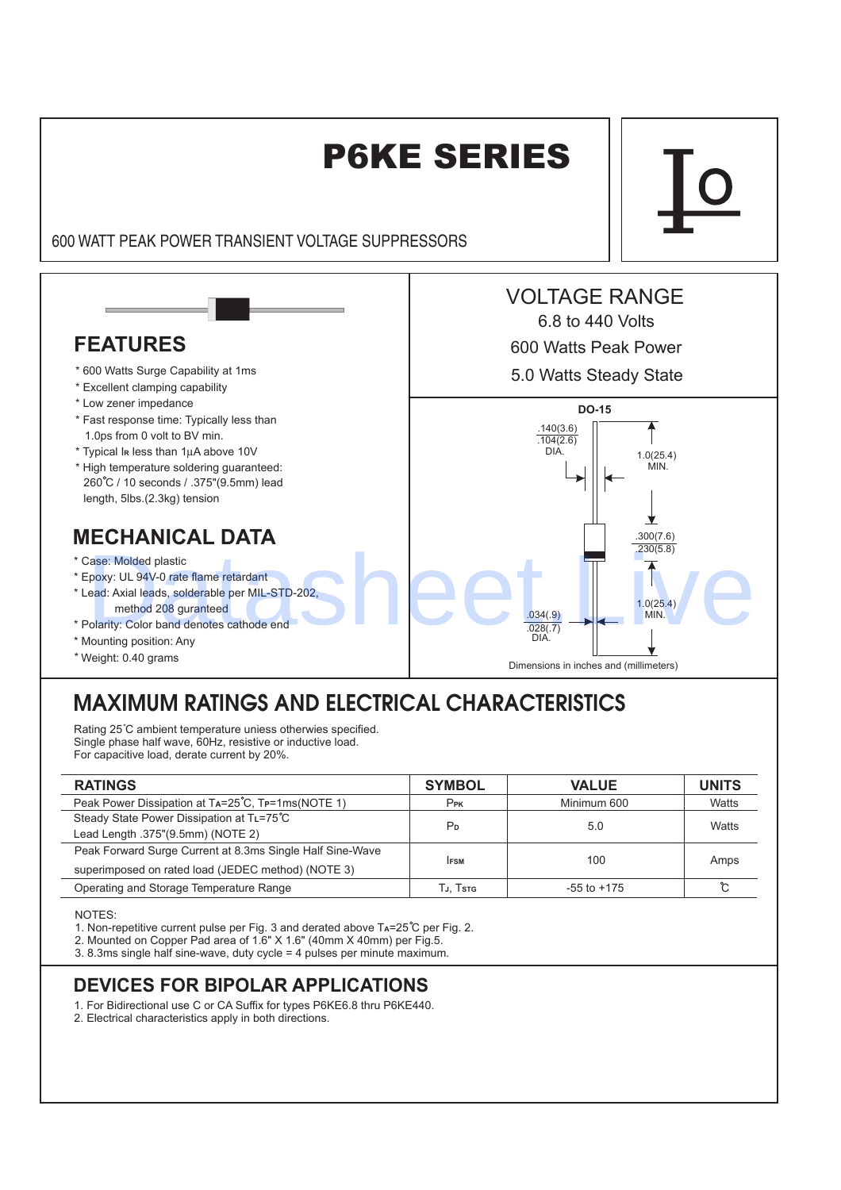

# MAXIMUM RATINGS AND ELECTRICAL CHARACTERISTICS

Rating 25°C ambient temperature uniess otherwies specified. Single phase half wave, 60Hz, resistive or inductive load. For capacitive load, derate current by 20%.

| <b>RATINGS</b>                                            | <b>SYMBOL</b>   | <b>VALUE</b>    | <b>UNITS</b> |
|-----------------------------------------------------------|-----------------|-----------------|--------------|
| Peak Power Dissipation at TA=25°C, TP=1ms(NOTE 1)         | Pr <sub>K</sub> | Minimum 600     | Watts        |
| Steady State Power Dissipation at TL=75°C                 |                 |                 | Watts        |
| Lead Length .375"(9.5mm) (NOTE 2)                         | P <sub>D</sub>  | 5.0             |              |
| Peak Forward Surge Current at 8.3ms Single Half Sine-Wave |                 | 100             | Amps         |
| superimposed on rated load (JEDEC method) (NOTE 3)        | <b>IFSM</b>     |                 |              |
| Operating and Storage Temperature Range                   | TJ. Tstg        | $-55$ to $+175$ |              |

NOTES:

1. Non-repetitive current pulse per Fig. 3 and derated above  $Ta = 25^\circ C$  per Fig. 2.

2. Mounted on Copper Pad area of 1.6" X 1.6" (40mm X 40mm) per Fig.5.

3. 8.3ms single half sine-wave, duty cycle = 4 pulses per minute maximum.

### **DEVICES FOR BIPOLAR APPLICATIONS**

1. For Bidirectional use C or CA Suffix for types P6KE6.8 thru P6KE440.

2. Electrical characteristics apply in both directions.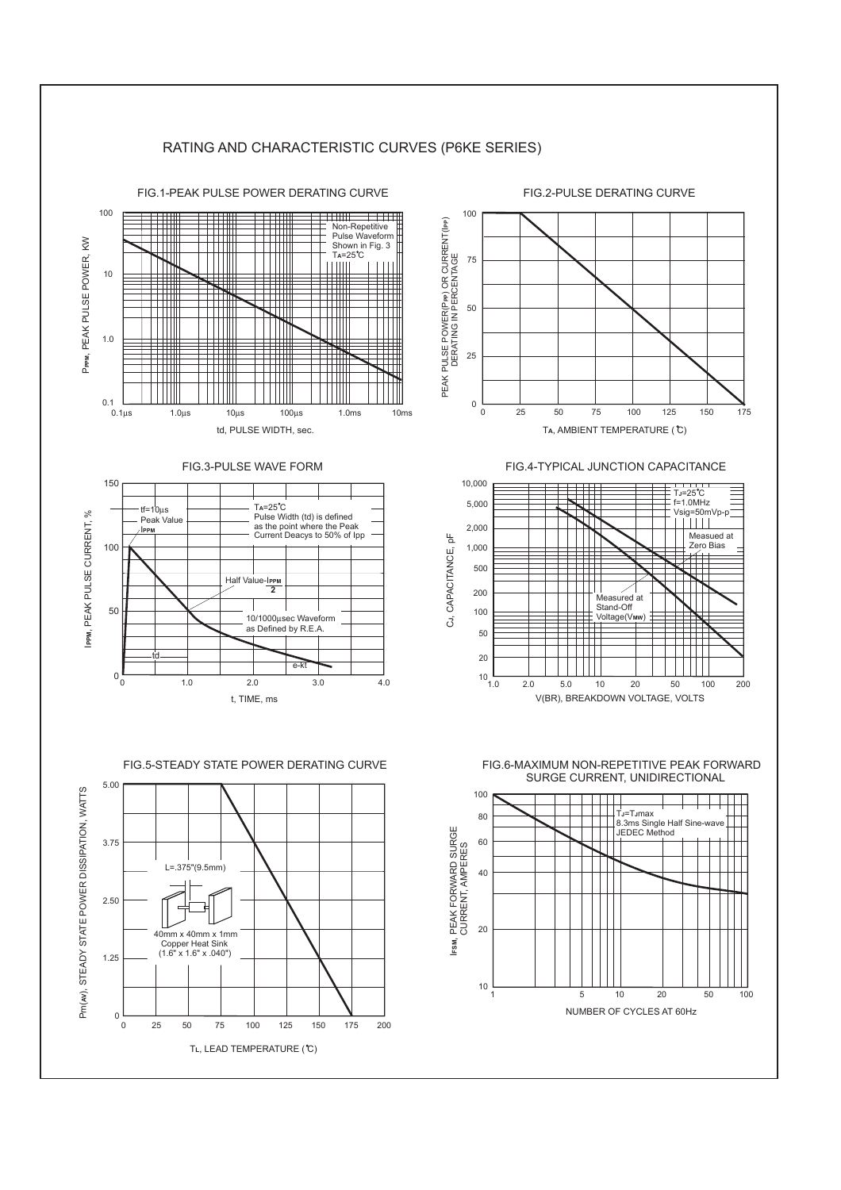#### RATING AND CHARACTERISTIC CURVES (P6KE SERIES) FIG.1-PEAK PULSE POWER DERATING CURVE FIG.2-PULSE DERATING CURVE 100 100 see<br>Billi PEAK PULSE POWER(PPP) OR CURRENT(IPP)<br>DERATING IN PERCENTAGE PEAK PULSE POWER(PPP) OR CURRENT(IPP) **PP** OR UDRRENT (IPP Non-Repetitive Pulse Waveform PPPM, PEAK PULSE POWER, KW Pppm, PEAK PULSE POWER, KW Shown in Fig. 3 T**A**=25 C 75 Ш DERATING IN PERCENTAGE 10 50  $\blacksquare$ 1.0 25 Ш  $0.1$   $-$  0.1 µs 0 25 50 75 100 125 150 175 0.1µs 1.0µs 10µs 100µs 1.0ms 10ms td, PULSE WIDTH, sec. TA, AMBIENT TEMPERATURE (<sup>2</sup>C) FIG.3-PULSE WAVE FORM FIG.4-TYPICAL JUNCTION CAPACITANCE 10,000 150 TJ=25 C  $f=1.0$ MHz 5,000 Ta=25˚C<br>Pulse Width (td) is defined Vsig=50mVp-p tf=10µs IPPM, PEAK PULSE CURRENT, % , PEAK PULSE CURRENT, % **PPM** Peak Value 2,000 as the point where the Peak Current Deacys to 50% of Ipp I **PPM** Measued at  $\frac{\mu}{\Delta}$  , CAPACITANCE, pF **J** 100 Zero Bias 1,000 CJ, CAPACITANCE, 500 Half Value-I**PPM 2** TTTT 200 Measured at Stand-Off 50 100 Voltage(Vi 10/1000 µsec Waveform<br>as Defined by R.E.A. 50 20 td e-kt  $0\frac{L}{0}$  $10^{-1}$ <br> $1.0$ 0 1.0 2.0 3.0 4.0 1.0 2.0 5.0 10 20 50 100 200 V(BR), BREAKDOWN VOLTAGE, VOLTS t, TIME, ms FIG.6-MAXIMUM NON-REPETITIVE PEAK FORWARD FIG.5-STEADY STATE POWER DERATING CURVE SURGE CURRENT, UNIDIRECTIONAL 5.00 Pm(w), STEADY STATE POWER DISSIPATION, WATTS Pm( ), STEADY STATE POWER DISSIPATION, WATTS **AV** 100 ШT 80 T<sub>J</sub>=T<sub>J</sub>max 8.3ms Single Half Sine-wave JEDEC Method , PEAK FORWARD SURGE 60 3.75 CURRENT, AMPERES L=.375"(9.5mm) 40 2.50 20 40mm x 40mm x 1mm Copper Heat Sink (1.6" x 1.6" x .040") I**FSM** 1.25 10 1 5 10 20 50 100 NUMBER OF CYCLES AT 60Hz  $0\frac{1}{0}$ 0 25 50 75 100 125 150 175 200

TL, LEAD TEMPERATURE (°C)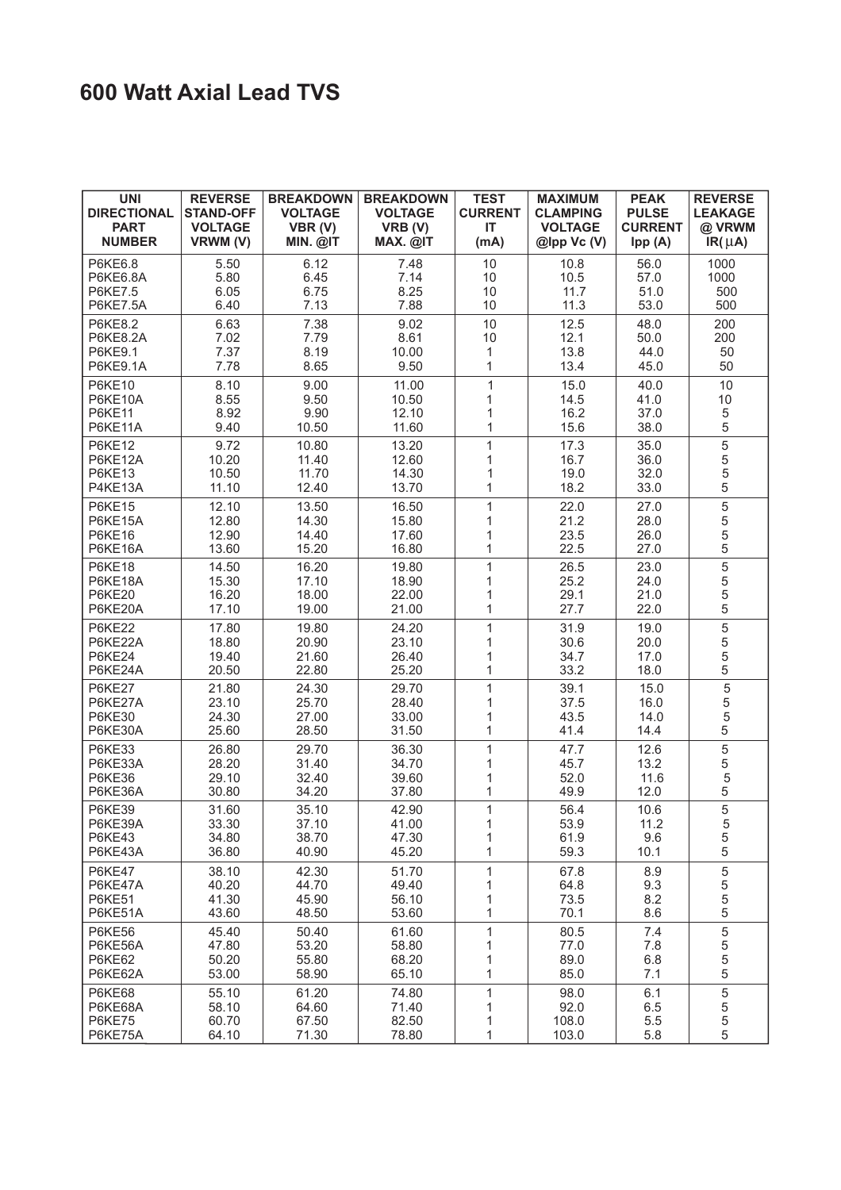### **600 Watt Axial Lead TVS**

| <b>UNI</b><br><b>DIRECTIONAL</b><br><b>PART</b><br><b>NUMBER</b> | <b>REVERSE</b><br><b>STAND-OFF</b><br><b>VOLTAGE</b><br>VRWM (V) | <b>BREAKDOWN</b><br><b>VOLTAGE</b><br>VBR(V)<br>MIN. @IT | <b>BREAKDOWN</b><br><b>VOLTAGE</b><br>VRB (V)<br>MAX. @IT | <b>TEST</b><br><b>CURRENT</b><br><b>IT</b><br>(mA) | <b>MAXIMUM</b><br><b>CLAMPING</b><br><b>VOLTAGE</b><br>$@$ lpp Vc $(V)$ | <b>PEAK</b><br><b>PULSE</b><br><b>CURRENT</b><br>Ipp(A) | <b>REVERSE</b><br><b>LEAKAGE</b><br>@ VRWM<br>$IR(\mu A)$ |
|------------------------------------------------------------------|------------------------------------------------------------------|----------------------------------------------------------|-----------------------------------------------------------|----------------------------------------------------|-------------------------------------------------------------------------|---------------------------------------------------------|-----------------------------------------------------------|
| P6KE6.8<br>P6KE6.8A<br><b>P6KE7.5</b><br><b>P6KE7.5A</b>         | 5.50<br>5.80<br>6.05<br>6.40                                     | 6.12<br>6.45<br>6.75<br>7.13                             | 7.48<br>7.14<br>8.25<br>7.88                              | 10<br>10<br>10<br>10                               | 10.8<br>10.5<br>11.7<br>11.3                                            | 56.0<br>57.0<br>51.0<br>53.0                            | 1000<br>1000<br>500<br>500                                |
| P6KE8.2<br>P6KE8.2A<br>P6KE9.1<br>P6KE9.1A                       | 6.63<br>7.02<br>7.37<br>7.78                                     | 7.38<br>7.79<br>8.19<br>8.65                             | 9.02<br>8.61<br>10.00<br>9.50                             | 10<br>10<br>1<br>1                                 | 12.5<br>12.1<br>13.8<br>13.4                                            | 48.0<br>50.0<br>44.0<br>45.0                            | 200<br>200<br>50<br>50                                    |
| <b>P6KE10</b><br>P6KE10A<br><b>P6KE11</b><br>P6KE11A             | 8.10<br>8.55<br>8.92<br>9.40                                     | 9.00<br>9.50<br>9.90<br>10.50                            | 11.00<br>10.50<br>12.10<br>11.60                          | $\mathbf{1}$<br>1<br>1<br>1                        | 15.0<br>14.5<br>16.2<br>15.6                                            | 40.0<br>41.0<br>37.0<br>38.0                            | 10<br>10<br>$\frac{5}{5}$                                 |
| <b>P6KE12</b><br>P6KE12A<br><b>P6KE13</b><br>P4KE13A             | 9.72<br>10.20<br>10.50<br>11.10                                  | 10.80<br>11.40<br>11.70<br>12.40                         | 13.20<br>12.60<br>14.30<br>13.70                          | 1<br>1<br>1<br>1                                   | 17.3<br>16.7<br>19.0<br>18.2                                            | 35.0<br>36.0<br>32.0<br>33.0                            | 5<br>$\overline{5}$<br>$\frac{5}{5}$                      |
| <b>P6KE15</b><br>P6KE15A<br><b>P6KE16</b><br>P6KE16A             | 12.10<br>12.80<br>12.90<br>13.60                                 | 13.50<br>14.30<br>14.40<br>15.20                         | 16.50<br>15.80<br>17.60<br>16.80                          | $\mathbf{1}$<br>1<br>$\mathbf 1$<br>$\mathbf{1}$   | 22.0<br>21.2<br>23.5<br>22.5                                            | 27.0<br>28.0<br>26.0<br>27.0                            | $\overline{5}$<br>$\frac{5}{5}$<br>5                      |
| <b>P6KE18</b><br>P6KE18A<br><b>P6KE20</b><br>P6KE20A             | 14.50<br>15.30<br>16.20<br>17.10                                 | 16.20<br>17.10<br>18.00<br>19.00                         | 19.80<br>18.90<br>22.00<br>21.00                          | $\mathbf{1}$<br>1<br>1<br>1                        | 26.5<br>25.2<br>29.1<br>27.7                                            | 23.0<br>24.0<br>21.0<br>22.0                            | $\begin{array}{c} 5 \\ 5 \\ 5 \end{array}$<br>5           |
| <b>P6KE22</b><br>P6KE22A<br><b>P6KE24</b><br>P6KE24A             | 17.80<br>18.80<br>19.40<br>20.50                                 | 19.80<br>20.90<br>21.60<br>22.80                         | 24.20<br>23.10<br>26.40<br>25.20                          | 1<br>1<br>1<br>1                                   | 31.9<br>30.6<br>34.7<br>33.2                                            | 19.0<br>20.0<br>17.0<br>18.0                            | $\sqrt{5}$<br>5<br>5<br>$\overline{5}$                    |
| <b>P6KE27</b><br>P6KE27A<br><b>P6KE30</b><br>P6KE30A             | 21.80<br>23.10<br>24.30<br>25.60                                 | 24.30<br>25.70<br>27.00<br>28.50                         | 29.70<br>28.40<br>33.00<br>31.50                          | $\mathbf{1}$<br>1<br>1<br>1                        | 39.1<br>37.5<br>43.5<br>41.4                                            | 15.0<br>16.0<br>14.0<br>14.4                            | 5<br>$\frac{5}{5}$<br>5                                   |
| <b>P6KE33</b><br>P6KE33A<br><b>P6KE36</b><br>P6KE36A             | 26.80<br>28.20<br>29.10<br>30.80                                 | 29.70<br>31.40<br>32.40<br>34.20                         | 36.30<br>34.70<br>39.60<br>37.80                          | $\mathbf{1}$<br>1<br>1<br>1                        | 47.7<br>45.7<br>52.0<br>49.9                                            | 12.6<br>13.2<br>11.6<br>12.0                            | $\frac{5}{5}$<br>5<br>5                                   |
| <b>P6KE39</b><br>P6KE39A<br><b>P6KE43</b><br>P6KE43A             | 31.60<br>33.30<br>34.80<br>36.80                                 | 35.10<br>37.10<br>38.70<br>40.90                         | 42.90<br>41.00<br>47.30<br>45.20                          | $\mathbf{1}$<br>1<br>1<br>1                        | 56.4<br>53.9<br>61.9<br>59.3                                            | 10.6<br>11.2<br>9.6<br>10.1                             | 5<br>$\mathbf 5$<br>$\,$ 5 $\,$<br>5                      |
| <b>P6KE47</b><br>P6KE47A<br>P6KE51<br>P6KE51A                    | 38.10<br>40.20<br>41.30<br>43.60                                 | 42.30<br>44.70<br>45.90<br>48.50                         | 51.70<br>49.40<br>56.10<br>53.60                          | $\mathbf{1}$<br>1<br>$\mathbf{1}$<br>1             | 67.8<br>64.8<br>73.5<br>70.1                                            | 8.9<br>9.3<br>8.2<br>8.6                                | $\sqrt{5}$<br>$\frac{5}{5}$<br>$\sqrt{5}$                 |
| <b>P6KE56</b><br>P6KE56A<br><b>P6KE62</b><br>P6KE62A             | 45.40<br>47.80<br>50.20<br>53.00                                 | 50.40<br>53.20<br>55.80<br>58.90                         | 61.60<br>58.80<br>68.20<br>65.10                          | $\mathbf 1$<br>1<br>1<br>1                         | 80.5<br>77.0<br>89.0<br>85.0                                            | 7.4<br>7.8<br>6.8<br>7.1                                | $\,$ 5 $\,$<br>$\,$ 5 $\,$<br>5<br>$\,$ 5 $\,$            |
| <b>P6KE68</b><br>P6KE68A<br><b>P6KE75</b><br>P6KE75A             | 55.10<br>58.10<br>60.70<br>64.10                                 | 61.20<br>64.60<br>67.50<br>71.30                         | 74.80<br>71.40<br>82.50<br>78.80                          | 1<br>1<br>1<br>$\mathbf 1$                         | 98.0<br>92.0<br>108.0<br>103.0                                          | 6.1<br>6.5<br>$5.5$<br>5.8                              | $\,$ 5 $\,$<br>$\frac{5}{5}$<br>5                         |